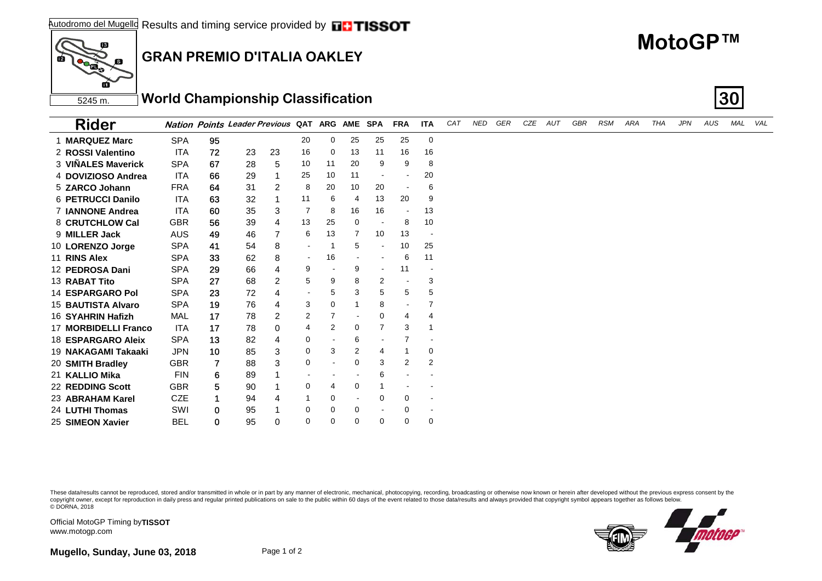

## **GRAN PREMIO D'ITALIA OAKLEY**

## **MotoGP™**

5245 m. **World Championship Classification 30**

| <b>Rider</b>            |            |    | <b>Nation Points Leader Previous QAT</b> |                |                          |          | ARG AME SPA              |                | <b>FRA</b>               | <b>ITA</b>               | CAT | <b>NED</b> | GER | CZE | AUT | GBR | <b>RSM</b> | ARA | THA | <b>JPN</b> | AUS | MAL | VAL |
|-------------------------|------------|----|------------------------------------------|----------------|--------------------------|----------|--------------------------|----------------|--------------------------|--------------------------|-----|------------|-----|-----|-----|-----|------------|-----|-----|------------|-----|-----|-----|
| 1 MARQUEZ Marc          | <b>SPA</b> | 95 |                                          |                | 20                       | 0        | 25                       | 25             | 25                       | 0                        |     |            |     |     |     |     |            |     |     |            |     |     |     |
| 2 ROSSI Valentino       | ITA        | 72 | 23                                       | 23             | 16                       | 0        | 13                       | 11             | 16                       | 16                       |     |            |     |     |     |     |            |     |     |            |     |     |     |
| 3 VINALES Maverick      | <b>SPA</b> | 67 | 28                                       | 5              | 10                       | 11       | 20                       | 9              | 9                        | 8                        |     |            |     |     |     |     |            |     |     |            |     |     |     |
| 4 DOVIZIOSO Andrea      | ITA        | 66 | 29                                       |                | 25                       | 10       | 11                       |                | $\overline{\phantom{a}}$ | 20                       |     |            |     |     |     |     |            |     |     |            |     |     |     |
| 5 ZARCO Johann          | <b>FRA</b> | 64 | 31                                       | 2              | 8                        | 20       | 10                       | 20             | $\overline{\phantom{a}}$ | 6                        |     |            |     |     |     |     |            |     |     |            |     |     |     |
| 6 PETRUCCI Danilo       | ITA        | 63 | 32                                       |                | 11                       | 6        | $\overline{4}$           | 13             | 20                       | 9                        |     |            |     |     |     |     |            |     |     |            |     |     |     |
| 7 IANNONE Andrea        | <b>ITA</b> | 60 | 35                                       | 3              | 7                        | 8        | 16                       | 16             | $\overline{\phantom{a}}$ | 13                       |     |            |     |     |     |     |            |     |     |            |     |     |     |
| 8 CRUTCHLOW Cal         | <b>GBR</b> | 56 | 39                                       | 4              | 13                       | 25       | 0                        |                | 8                        | 10                       |     |            |     |     |     |     |            |     |     |            |     |     |     |
| 9 MILLER Jack           | <b>AUS</b> | 49 | 46                                       | $\overline{7}$ | 6                        | 13       | 7                        | 10             | 13                       | $\blacksquare$           |     |            |     |     |     |     |            |     |     |            |     |     |     |
| 10 LORENZO Jorge        | <b>SPA</b> | 41 | 54                                       | 8              | $\overline{\phantom{a}}$ |          | 5                        | $\blacksquare$ | 10                       | 25                       |     |            |     |     |     |     |            |     |     |            |     |     |     |
| 11 RINS Alex            | <b>SPA</b> | 33 | 62                                       | 8              | $\blacksquare$           | 16       |                          |                | 6                        | 11                       |     |            |     |     |     |     |            |     |     |            |     |     |     |
| 12 PEDROSA Dani         | <b>SPA</b> | 29 | 66                                       | 4              | 9                        |          | 9                        | $\sim$         | 11                       |                          |     |            |     |     |     |     |            |     |     |            |     |     |     |
| 13 RABAT Tito           | <b>SPA</b> | 27 | 68                                       | $\overline{2}$ | 5                        | 9        | 8                        | $\overline{2}$ |                          | 3                        |     |            |     |     |     |     |            |     |     |            |     |     |     |
| <b>14 ESPARGARO Pol</b> | <b>SPA</b> | 23 | 72                                       | 4              | $\blacksquare$           | 5        | 3                        | 5              | 5                        | 5                        |     |            |     |     |     |     |            |     |     |            |     |     |     |
| 15 BAUTISTA Alvaro      | <b>SPA</b> | 19 | 76                                       | 4              | 3                        | 0        |                          | 8              |                          | 7                        |     |            |     |     |     |     |            |     |     |            |     |     |     |
| 16 SYAHRIN Hafizh       | <b>MAL</b> | 17 | 78                                       | $\overline{2}$ | 2                        | 7        | $\overline{\phantom{a}}$ | 0              | 4                        | 4                        |     |            |     |     |     |     |            |     |     |            |     |     |     |
| 17 MORBIDELLI Franco    | <b>ITA</b> | 17 | 78                                       | 0              | 4                        | 2        | 0                        | $\overline{7}$ | 3                        | 1                        |     |            |     |     |     |     |            |     |     |            |     |     |     |
| 18 ESPARGARO Aleix      | <b>SPA</b> | 13 | 82                                       | 4              | 0                        |          | 6                        |                | $\overline{7}$           |                          |     |            |     |     |     |     |            |     |     |            |     |     |     |
| 19 NAKAGAMI Takaaki     | <b>JPN</b> | 10 | 85                                       | $\mathbf{3}$   | $\mathbf 0$              | 3        | 2                        | 4              |                          | 0                        |     |            |     |     |     |     |            |     |     |            |     |     |     |
| 20 SMITH Bradley        | <b>GBR</b> | 7  | 88                                       | 3              | 0                        |          | 0                        | 3              | 2                        | $\overline{2}$           |     |            |     |     |     |     |            |     |     |            |     |     |     |
| 21 KALLIO Mika          | <b>FIN</b> | 6  | 89                                       |                |                          |          |                          | 6              |                          |                          |     |            |     |     |     |     |            |     |     |            |     |     |     |
| 22 REDDING Scott        | <b>GBR</b> | 5  | 90                                       |                | $\mathbf 0$              | 4        | 0                        | 1              |                          | $\overline{\phantom{a}}$ |     |            |     |     |     |     |            |     |     |            |     |     |     |
| 23 ABRAHAM Karel        | <b>CZE</b> |    | 94                                       | 4              |                          | 0        | $\blacksquare$           | 0              | 0                        | $\blacksquare$           |     |            |     |     |     |     |            |     |     |            |     |     |     |
| 24 LUTHI Thomas         | SWI        | 0  | 95                                       |                | 0                        | 0        | 0                        |                | 0                        |                          |     |            |     |     |     |     |            |     |     |            |     |     |     |
| 25 SIMEON Xavier        | <b>BEL</b> | 0  | 95                                       | $\Omega$       | $\Omega$                 | $\Omega$ | $\Omega$                 | 0              | $\Omega$                 | 0                        |     |            |     |     |     |     |            |     |     |            |     |     |     |

These data/results cannot be reproduced, stored and/or transmitted in whole or in part by any manner of electronic, mechanical, photocopying, recording, broadcasting or otherwise now known or herein after developed without copyright owner, except for reproduction in daily press and regular printed publications on sale to the public within 60 days of the event related to those data/results and always provided that copyright symbol appears tog © DORNA, 2018



Official MotoGP Timing by **TISSOT**www.motogp.com